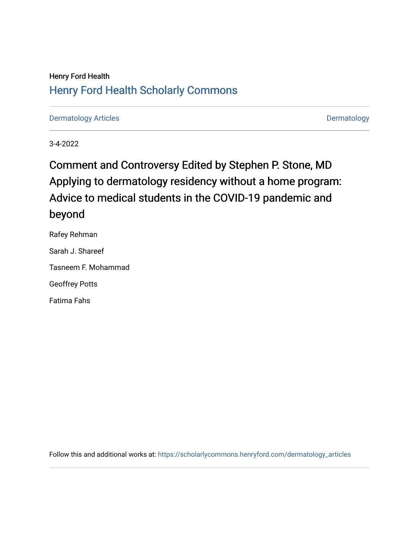## Henry Ford Health [Henry Ford Health Scholarly Commons](https://scholarlycommons.henryford.com/)

[Dermatology Articles](https://scholarlycommons.henryford.com/dermatology_articles) **Dermatology** 

3-4-2022

# Comment and Controversy Edited by Stephen P. Stone, MD Applying to dermatology residency without a home program: Advice to medical students in the COVID-19 pandemic and beyond

Rafey Rehman Sarah J. Shareef Tasneem F. Mohammad Geoffrey Potts Fatima Fahs

Follow this and additional works at: [https://scholarlycommons.henryford.com/dermatology\\_articles](https://scholarlycommons.henryford.com/dermatology_articles?utm_source=scholarlycommons.henryford.com%2Fdermatology_articles%2F666&utm_medium=PDF&utm_campaign=PDFCoverPages)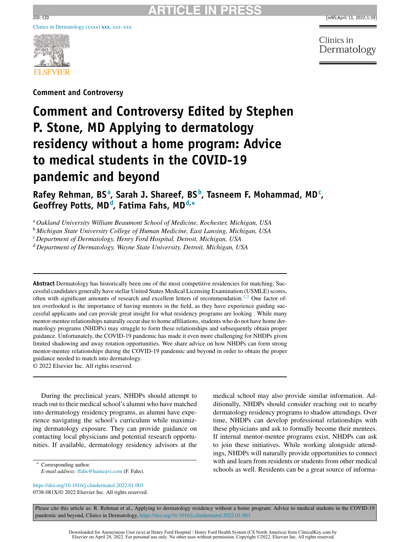

**Comment and Controversy**

# **Comment and Controversy Edited by Stephen P. Stone, MD Applying to dermatology residency without a home program: Advice to medical students in the COVID-19 pandemic and beyond**

**Rafey Rehman, BS<sup>a</sup> , Sarah J. Shareef, BS<sup>b</sup> , Tasneem F. Mohammad, MD<sup>c</sup> , Geoffrey Potts, MD<sup>d</sup> , Fatima Fahs, MDd,<sup>∗</sup>**

<sup>a</sup> *Oakland University William Beaumont School of Medicine, Rochester, Michigan, USA*

<sup>b</sup> *Michigan State University College of Human Medicine, East Lansing, Michigan, USA*

<sup>c</sup> *Department of Dermatology, Henry Ford Hospital, Detroit, Michigan, USA*

<sup>d</sup> *Department of Dermatology, Wayne State University, Detroit, Michigan, USA*

**Abstract** Dermatology has historically been one of the most competitive residencies for matching. Successful candidates generally have stellar United States Medical Licensing Examination (USMLE) scores, often with significant amounts of research and excellent letters of recommendation.<sup>[1,2](#page-3-0)</sup> One factor often overlooked is the importance of having mentors in the field, as they have experience guiding successful applicants and can provide great insight for what residency programs are looking . While many mentor-mentee relationships naturally occur due to home affiliations, students who do not have home dermatology programs (NHDPs) may struggle to form these relationships and subsequently obtain proper guidance. Unfortunately, the COVID-19 pandemic has made it even more challenging for NHDPs given limited shadowing and away rotation opportunities. Wee share advice on how NHDPs can form strong mentor-mentee relationships during the COVID-19 pandemic and beyond in order to obtain the proper guidance needed to match into dermatology.

© 2022 Elsevier Inc. All rights reserved.

During the preclinical years, NHDPs should attempt to reach out to their medical school's alumni who have matched into dermatology residency programs, as alumni have experience navigating the school's curriculum while maximizing dermatology exposure. They can provide guidance on contacting local physicians and potential research opportunities. If available, dermatology residency advisors at the

∗ Corresponding author. *E-mail address:* [ffahs@hamzavi.com](mailto:ffahs@hamzavi.com) (F. Fahs).

<https://doi.org/10.1016/j.clindermatol.2022.01.003> 0738-081X/© 2022 Elsevier Inc. All rights reserved. medical school may also provide similar information. Additionally, NHDPs should consider reaching out to nearby dermatology residency programs to shadow attendings. Over time, NHDPs can develop professional relationships with these physicians and ask to formally become their mentees. If internal mentor-mentee programs exist, NHDPs can ask to join these initiatives. While working alongside attendings, NHDPs will naturally provide opportunities to connect with and learn from residents or students from other medical schools as well. Residents can be a great source of informa-

Please cite this article as: R. Rehman et al., Applying to dermatology residency without a home program: Advice to medical students in the COVID-19 pandemic and beyond, Clinics in Dermatology, <https://doi.org/10.1016/j.clindermatol.2022.01.003>

Clinics in Dermatology

Downloaded for Anonymous User (n/a) at Henry Ford Hospital / Henry Ford Health System (CS North America) from ClinicalKey.com by<br>Elsevier on April 28, 2022. For personal use only. No other uses without permission. Copyrigh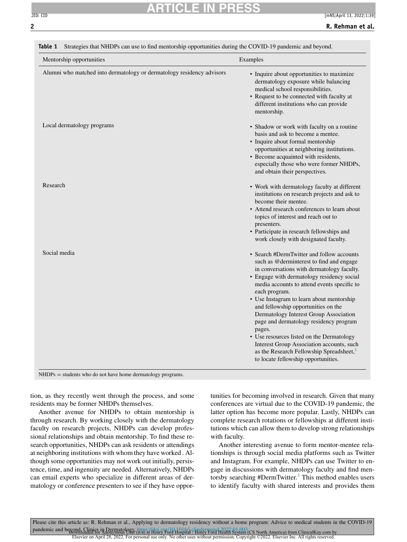#### <span id="page-2-0"></span>**ARTICLE IN PRESS** JID: CID [mNS;April 13, 2022;1:39]

| Mentorship opportunities                                              | Examples                                                                                                                                                                                                                                                                                                                                                                                                                                                                                                                                                                                                                     |
|-----------------------------------------------------------------------|------------------------------------------------------------------------------------------------------------------------------------------------------------------------------------------------------------------------------------------------------------------------------------------------------------------------------------------------------------------------------------------------------------------------------------------------------------------------------------------------------------------------------------------------------------------------------------------------------------------------------|
| Alumni who matched into dermatology or dermatology residency advisors | • Inquire about opportunities to maximize<br>dermatology exposure while balancing<br>medical school responsibilities.<br>• Request to be connected with faculty at<br>different institutions who can provide<br>mentorship.                                                                                                                                                                                                                                                                                                                                                                                                  |
| Local dermatology programs                                            | • Shadow or work with faculty on a routine<br>basis and ask to become a mentee.<br>• Inquire about formal mentorship<br>opportunities at neighboring institutions.<br>• Become acquainted with residents,<br>especially those who were former NHDPs,<br>and obtain their perspectives.                                                                                                                                                                                                                                                                                                                                       |
| Research                                                              | • Work with dermatology faculty at different<br>institutions on research projects and ask to<br>become their mentee.<br>• Attend research conferences to learn about<br>topics of interest and reach out to<br>presenters.<br>• Participate in research fellowships and<br>work closely with designated faculty.                                                                                                                                                                                                                                                                                                             |
| Social media                                                          | • Search #DermTwitter and follow accounts<br>such as @derminterest to find and engage<br>in conversations with dermatology faculty.<br>• Engage with dermatology residency social<br>media accounts to attend events specific to<br>each program.<br>• Use Instagram to learn about mentorship<br>and fellowship opportunities on the<br>Dermatology Interest Group Association<br>page and dermatology residency program<br>pages.<br>• Use resources listed on the Dermatology<br>Interest Group Association accounts, such<br>as the Research Fellowship Spreadsheet, <sup>5</sup><br>to locate fellowship opportunities. |

**Table 1** Strategies that NHDPs can use to find mentorship opportunities during the COVID-19 pandemic and beyond.

tion, as they recently went through the process, and some residents may be former NHDPs themselves.

Another avenue for NHDPs to obtain mentorship is through research. By working closely with the dermatology faculty on research projects, NHDPs can develop professional relationships and obtain mentorship. To find these research opportunities, NHDPs can ask residents or attendings at neighboring institutions with whom they have worked . Although some opportunities may not work out initially, persistence, time, and ingenuity are needed. Alternatively, NHDPs can email experts who specialize in different areas of dermatology or conference presenters to see if they have opportunities for becoming involved in research. Given that many conferences are virtual due to the COVID-19 pandemic, the latter option has become more popular. Lastly, NHDPs can complete research rotations or fellowships at different institutions which can allow them to develop strong relationships with faculty.

Another interesting avenue to form mentor-mentee relationships is through social media platforms such as Twitter and Instagram. For example, NHDPs can use Twitter to engage in discussions with dermatology faculty and find men-torsby searching #DermTwitter.<sup>[3](#page-3-0)</sup> This method enables users to identify faculty with shared interests and provides them

Please cite this article as: R. Rehman et al., Applying to dermatology residency without a home program: Advice to medical students in the COVID-19 pandemic and beyond, Clinics in Detroited By https://den.org/10.1016/i.jp/02022. Exercise of Detroited By Andel<br>Elsevier on April 28, 2022. For personal use only. No other uses without permission. Copyright ©2022. Elsevier